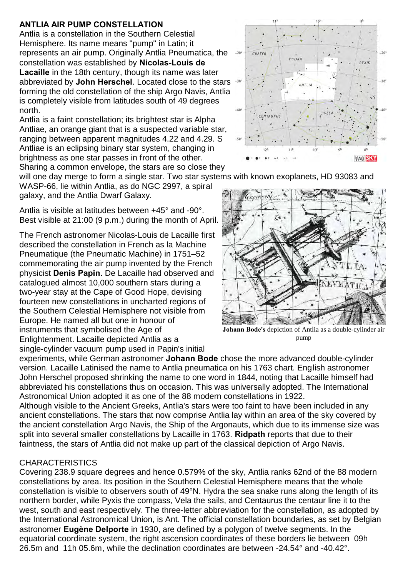## **ANTLIA AIR PUMP CONSTELLATION**

Antlia is a constellation in the Southern Celestial Hemisphere. Its name means "pump" in Latin; it represents an air pump. Originally Antlia Pneumatica, the constellation was established by **Nicolas-Louis de Lacaille** in the 18th century, though its name was later abbreviated by **John Herschel**. Located close to the stars forming the old constellation of the ship Argo Navis, Antlia is completely visible from latitudes south of 49 degrees north.

Antlia is a faint constellation; its brightest star is Alpha Antliae, an orange giant that is a suspected variable star, ranging between apparent magnitudes 4.22 and 4.29. S Antliae is an eclipsing binary star system, changing in brightness as one star passes in front of the other. Sharing a common envelope, the stars are so close they

will one day merge to form a single star. Two star systems with known exoplanets, HD 93083 and

WASP-66, lie within Antlia, as do NGC 2997, a spiral galaxy, and the Antlia Dwarf Galaxy.

Antlia is visible at latitudes between +45° and -90°. Best visible at 21:00 (9 p.m.) during the month of April.

The French astronomer Nicolas-Louis de Lacaille first described the constellation in French as la Machine Pneumatique (the Pneumatic Machine) in 1751–52 commemorating the air pump invented by the French physicist **Denis Papin**. De Lacaille had observed and catalogued almost 10,000 southern stars during a two-year stay at the Cape of Good Hope, devising fourteen new constellations in uncharted regions of the Southern Celestial Hemisphere not visible from Europe. He named all but one in honour of instruments that symbolised the Age of Enlightenment. Lacaille depicted Antlia as a single-cylinder vacuum pump used in Papin's initial

**Johann Bode's** depiction of Antlia as a double-cylinder air pump

experiments, while German astronomer **Johann Bode** chose the more advanced double-cylinder version. Lacaille Latinised the name to Antlia pneumatica on his 1763 chart. English astronomer John Herschel proposed shrinking the name to one word in 1844, noting that Lacaille himself had abbreviated his constellations thus on occasion. This was universally adopted. The International Astronomical Union adopted it as one of the 88 modern constellations in 1922.

Although visible to the Ancient Greeks, Antlia's stars were too faint to have been included in any ancient constellations. The stars that now comprise Antlia lay within an area of the sky covered by the ancient constellation Argo Navis, the Ship of the Argonauts, which due to its immense size was split into several smaller constellations by Lacaille in 1763. **Ridpath** reports that due to their faintness, the stars of Antlia did not make up part of the classical depiction of Argo Navis.

## **CHARACTERISTICS**

Covering 238.9 square degrees and hence 0.579% of the sky, Antlia ranks 62nd of the 88 modern constellations by area. Its position in the Southern Celestial Hemisphere means that the whole constellation is visible to observers south of 49°N. Hydra the sea snake runs along the length of its northern border, while Pyxis the compass, Vela the sails, and Centaurus the centaur line it to the west, south and east respectively. The three-letter abbreviation for the constellation, as adopted by the International Astronomical Union, is Ant. The official constellation boundaries, as set by Belgian astronomer **Eugène Delporte** in 1930, are defined by a polygon of twelve segments. In the equatorial coordinate system, the right ascension coordinates of these borders lie between 09h 26.5m and 11h 05.6m, while the declination coordinates are between -24.54° and -40.42°.





11